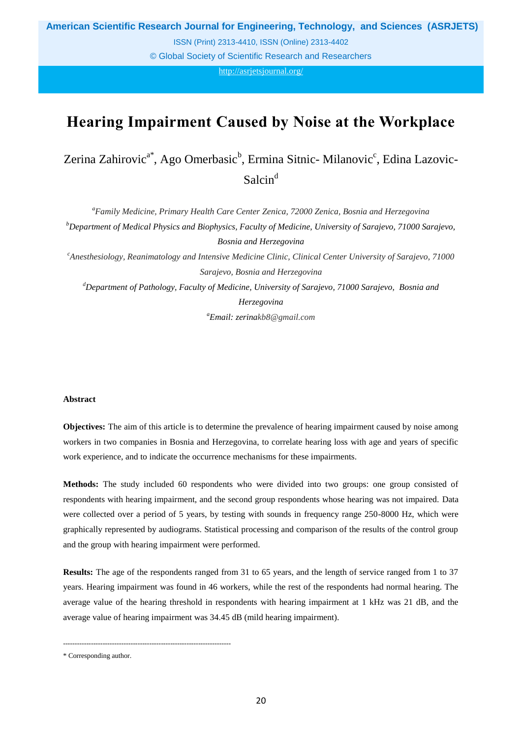**American Scientific Research Journal for Engineering, Technology, and Sciences (ASRJETS)**

ISSN (Print) 2313-4410, ISSN (Online) 2313-4402

© Global Society of Scientific Research and Researchers

http://asrjetsjournal.org/

# **Hearing Impairment Caused by Noise at the Workplace**

Zerina Zahirovic<sup>a\*</sup>, Ago Omerbasic<sup>b</sup>, Ermina Sitnic-Milanovic<sup>c</sup>, Edina Lazovic-Salcin<sup>d</sup>

*<sup>a</sup>Family Medicine, Primary Health Care Center Zenica, 72000 Zenica, Bosnia and Herzegovina <sup>b</sup>Department of Medical Physics and Biophysics, Faculty of Medicine, University of Sarajevo, 71000 Sarajevo, Bosnia and Herzegovina <sup>c</sup>Anesthesiology, Reanimatology and Intensive Medicine Clinic, Clinical Center University of Sarajevo, 71000 Sarajevo, Bosnia and Herzegovina <sup>d</sup>Department of Pathology, Faculty of Medicine, University of Sarajevo, 71000 Sarajevo, Bosnia and Herzegovina*

*<sup>a</sup>Email: zerinakb8@gmail.com*

## **Abstract**

**Objectives:** The aim of this article is to determine the prevalence of hearing impairment caused by noise among workers in two companies in Bosnia and Herzegovina, to correlate hearing loss with age and years of specific work experience, and to indicate the occurrence mechanisms for these impairments.

**Methods:** The study included 60 respondents who were divided into two groups: one group consisted of respondents with hearing impairment, and the second group respondents whose hearing was not impaired. Data were collected over a period of 5 years, by testing with sounds in frequency range 250-8000 Hz, which were graphically represented by audiograms. Statistical processing and comparison of the results of the control group and the group with hearing impairment were performed.

**Results:** The age of the respondents ranged from 31 to 65 years, and the length of service ranged from 1 to 37 years. Hearing impairment was found in 46 workers, while the rest of the respondents had normal hearing. The average value of the hearing threshold in respondents with hearing impairment at 1 kHz was 21 dB, and the average value of hearing impairment was 34.45 dB (mild hearing impairment).

------------------------------------------------------------------------

<sup>\*</sup> Corresponding author.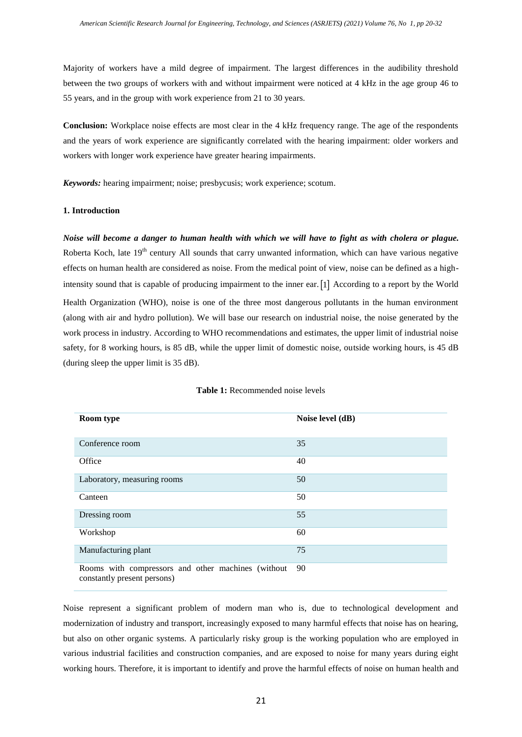Majority of workers have a mild degree of impairment. The largest differences in the audibility threshold between the two groups of workers with and without impairment were noticed at 4 kHz in the age group 46 to 55 years, and in the group with work experience from 21 to 30 years.

**Conclusion:** Workplace noise effects are most clear in the 4 kHz frequency range. The age of the respondents and the years of work experience are significantly correlated with the hearing impairment: older workers and workers with longer work experience have greater hearing impairments.

*Keywords:* hearing impairment; noise; presbycusis; work experience; scotum.

## **1. Introduction**

*Noise will become a danger to human health with which we will have to fight as with cholera or plague.* Roberta Koch, late 19<sup>th</sup> century All sounds that carry unwanted information, which can have various negative effects on human health are considered as noise. From the medical point of view, noise can be defined as a highintensity sound that is capable of producing impairment to the inner ear. 1 According to a report by the World Health Organization (WHO), noise is one of the three most dangerous pollutants in the human environment (along with air and hydro pollution). We will base our research on industrial noise, the noise generated by the work process in industry. According to WHO recommendations and estimates, the upper limit of industrial noise safety, for 8 working hours, is 85 dB, while the upper limit of domestic noise, outside working hours, is 45 dB (during sleep the upper limit is 35 dB).

| <b>Room type</b>                                                                  | Noise level (dB) |
|-----------------------------------------------------------------------------------|------------------|
| Conference room                                                                   | 35               |
| Office                                                                            | 40               |
| Laboratory, measuring rooms                                                       | 50               |
| Canteen                                                                           | 50               |
| Dressing room                                                                     | 55               |
| Workshop                                                                          | 60               |
| Manufacturing plant                                                               | 75               |
| Rooms with compressors and other machines (without<br>constantly present persons) | 90               |

#### **Table 1:** Recommended noise levels

Noise represent a significant problem of modern man who is, due to technological development and modernization of industry and transport, increasingly exposed to many harmful effects that noise has on hearing, but also on other organic systems. A particularly risky group is the working population who are employed in various industrial facilities and construction companies, and are exposed to noise for many years during eight working hours. Therefore, it is important to identify and prove the harmful effects of noise on human health and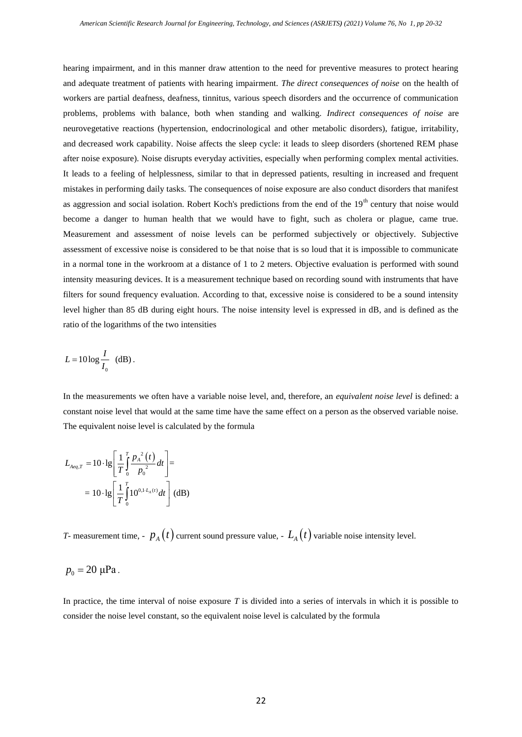hearing impairment, and in this manner draw attention to the need for preventive measures to protect hearing and adequate treatment of patients with hearing impairment. *The direct consequences of noise* on the health of workers are partial deafness, deafness, tinnitus, various speech disorders and the occurrence of communication problems, problems with balance, both when standing and walking. *Indirect consequences of noise* are neurovegetative reactions (hypertension, endocrinological and other metabolic disorders), fatigue, irritability, and decreased work capability. Noise affects the sleep cycle: it leads to sleep disorders (shortened REM phase after noise exposure). Noise disrupts everyday activities, especially when performing complex mental activities. It leads to a feeling of helplessness, similar to that in depressed patients, resulting in increased and frequent mistakes in performing daily tasks. The consequences of noise exposure are also conduct disorders that manifest as aggression and social isolation. Robert Koch's predictions from the end of the 19<sup>th</sup> century that noise would become a danger to human health that we would have to fight, such as cholera or plague, came true. Measurement and assessment of noise levels can be performed subjectively or objectively. Subjective assessment of excessive noise is considered to be that noise that is so loud that it is impossible to communicate in a normal tone in the workroom at a distance of 1 to 2 meters. Objective evaluation is performed with sound intensity measuring devices. It is a measurement technique based on recording sound with instruments that have filters for sound frequency evaluation. According to that, excessive noise is considered to be a sound intensity level higher than 85 dB during eight hours. The noise intensity level is expressed in dB, and is defined as the ratio of the logarithms of the two intensities

$$
L = 10 \log \frac{I}{I_0} \text{ (dB)}.
$$

In the measurements we often have a variable noise level, and, therefore, an *equivalent noise level* is defined: a constant noise level that would at the same time have the same effect on a person as the observed variable noise. The equivalent noise level is calculated by the formula

$$
L_{Aeq,T} = 10 \cdot \lg \left[ \frac{1}{T} \int_{0}^{T} \frac{p_A^{2}(t)}{p_0^{2}} dt \right] =
$$
  
= 10 \cdot \lg \left[ \frac{1}{T} \int\_{0}^{T} 10^{0.1 \cdot L\_A(t)} dt \right] (dB)

*T*- measurement time, -  $p_{A}(t)$  current sound pressure value, -  $L_{A}(t)$  variable noise intensity level.

$$
p_0=20 \text{ }\mu\text{Pa}.
$$

In practice, the time interval of noise exposure *T* is divided into a series of intervals in which it is possible to consider the noise level constant, so the equivalent noise level is calculated by the formula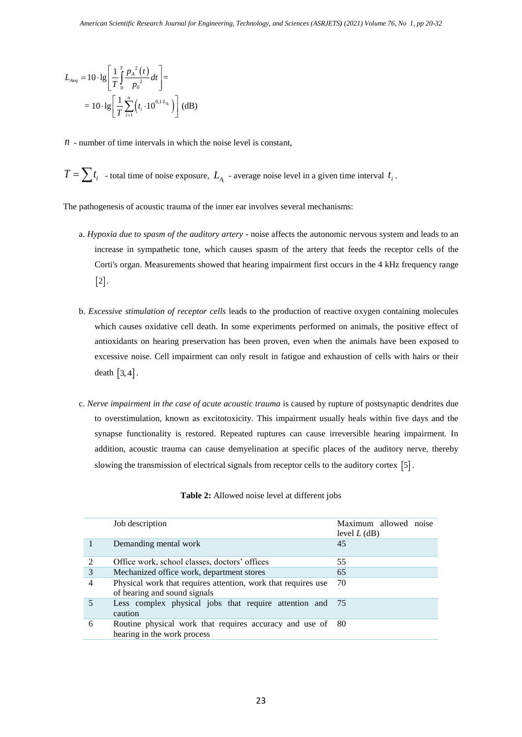$$
L_{Aeq} = 10 \cdot \lg \left[ \frac{1}{T} \int_{0}^{T} \frac{p_A^{2}(t)}{p_0^{2}} dt \right] =
$$
  
= 10 \cdot \lg \left[ \frac{1}{T} \sum\_{i=1}^{n} (t\_i \cdot 10^{0,1-L\_{A\_i}}) \right] (dB)

- $n -$  number of time intervals in which the noise level is constant,
- $T = \sum t_i$  total time of noise exposure,  $L_{A_i}$  average noise level in a given time interval  $t_i$ .

The pathogenesis of acoustic trauma of the inner ear involves several mechanisms:

- a. *Hypoxia due to spasm of the auditory artery* noise affects the autonomic nervous system and leads to an increase in sympathetic tone, which causes spasm of the artery that feeds the receptor cells of the Corti's organ. Measurements showed that hearing impairment first occurs in the 4 kHz frequency range  $\lceil 2 \rceil$ .
- b. *Excessive stimulation of receptor cells* leads to the production of reactive oxygen containing molecules which causes oxidative cell death. In some experiments performed on animals, the positive effect of antioxidants on hearing preservation has been proven, even when the animals have been exposed to excessive noise. Cell impairment can only result in fatigue and exhaustion of cells with hairs or their death  $\left[3, 4\right]$ .
- c. *Nerve impairment in the case of acute acoustic trauma* is caused by rupture of postsynaptic dendrites due to overstimulation, known as excitotoxicity. This impairment usually heals within five days and the synapse functionality is restored. Repeated ruptures can cause irreversible hearing impairment. In addition, acoustic trauma can cause demyelination at specific places of the auditory nerve, thereby slowing the transmission of electrical signals from receptor cells to the auditory cortex  $\lceil 5 \rceil$ .

|   | Job description                                                                               | Maximum allowed<br>noise<br>level $L$ (dB) |
|---|-----------------------------------------------------------------------------------------------|--------------------------------------------|
|   | Demanding mental work                                                                         | 45                                         |
| 2 | Office work, school classes, doctors' offices                                                 | 55                                         |
| 3 | Mechanized office work, department stores                                                     | 65                                         |
| 4 | Physical work that requires attention, work that requires use<br>of hearing and sound signals | 70                                         |
|   | Less complex physical jobs that require attention and 75<br>caution                           |                                            |
| 6 | Routine physical work that requires accuracy and use of 80<br>hearing in the work process     |                                            |

# **Table 2:** Allowed noise level at different jobs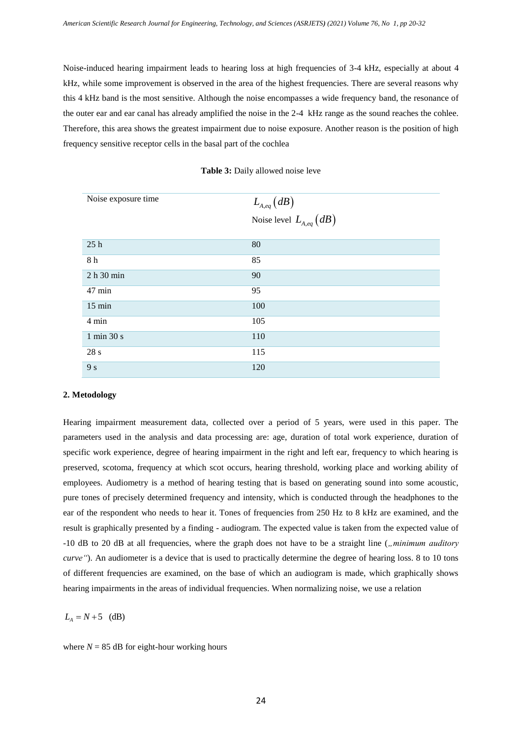Noise-induced hearing impairment leads to hearing loss at high frequencies of 3-4 kHz, especially at about 4 kHz, while some improvement is observed in the area of the highest frequencies. There are several reasons why this 4 kHz band is the most sensitive. Although the noise encompasses a wide frequency band, the resonance of the outer ear and ear canal has already amplified the noise in the 2-4 kHz range as the sound reaches the cohlee. Therefore, this area shows the greatest impairment due to noise exposure. Another reason is the position of high frequency sensitive receptor cells in the basal part of the cochlea

| Noise exposure time | $L_{A,eq}(dB)$<br>Noise level $L_{A,eq}(dB)$ |
|---------------------|----------------------------------------------|
| 25h                 | 80                                           |
| 8 h                 | 85                                           |
| 2 h 30 min          | 90                                           |
| 47 min              | 95                                           |
| $15 \text{ min}$    | 100                                          |
| 4 min               | 105                                          |
| 1 min 30 s          | 110                                          |
| 28s                 | 115                                          |
| 9 s                 | 120                                          |

**Table 3:** Daily allowed noise leve

## **2. Metodology**

Hearing impairment measurement data, collected over a period of 5 years, were used in this paper. The parameters used in the analysis and data processing are: age, duration of total work experience, duration of specific work experience, degree of hearing impairment in the right and left ear, frequency to which hearing is preserved, scotoma, frequency at which scot occurs, hearing threshold, working place and working ability of employees. Audiometry is a method of hearing testing that is based on generating sound into some acoustic, pure tones of precisely determined frequency and intensity, which is conducted through the headphones to the ear of the respondent who needs to hear it. Tones of frequencies from 250 Hz to 8 kHz are examined, and the result is graphically presented by a finding - audiogram. The expected value is taken from the expected value of -10 dB to 20 dB at all frequencies, where the graph does not have to be a straight line (*"minimum auditory curve*"). An audiometer is a device that is used to practically determine the degree of hearing loss. 8 to 10 tons of different frequencies are examined, on the base of which an audiogram is made, which graphically shows hearing impairments in the areas of individual frequencies. When normalizing noise, we use a relation

 $L_{A} = N + 5$  (dB)

where  $N = 85$  dB for eight-hour working hours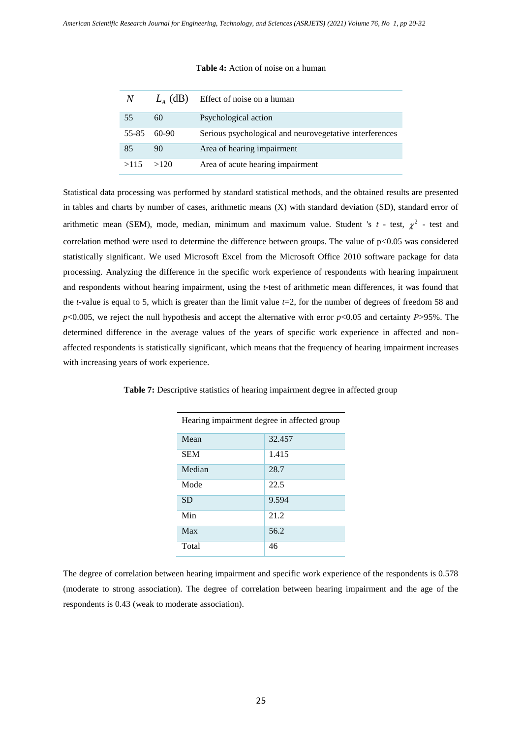| N             |               | $L4$ (dB) Effect of noise on a human                    |
|---------------|---------------|---------------------------------------------------------|
| 55            | 60            | Psychological action                                    |
|               | $55-85$ 60-90 | Serious psychological and neurovegetative interferences |
| 85            | 90            | Area of hearing impairment                              |
| $>115$ $>120$ |               | Area of acute hearing impairment                        |

## **Table 4:** Action of noise on a human

Statistical data processing was performed by standard statistical methods, and the obtained results are presented in tables and charts by number of cases, arithmetic means (X) with standard deviation (SD), standard error of arithmetic mean (SEM), mode, median, minimum and maximum value. Student 's  $t$  - test,  $\chi^2$  - test and correlation method were used to determine the difference between groups. The value of  $p<0.05$  was considered statistically significant. We used Microsoft Excel from the Microsoft Office 2010 software package for data processing. Analyzing the difference in the specific work experience of respondents with hearing impairment and respondents without hearing impairment, using the *t*-test of arithmetic mean differences, it was found that the *t*-value is equal to 5, which is greater than the limit value *t*=2, for the number of degrees of freedom 58 and *p*<0.005, we reject the null hypothesis and accept the alternative with error *p*<0.05 and certainty *P*>95%. The determined difference in the average values of the years of specific work experience in affected and nonaffected respondents is statistically significant, which means that the frequency of hearing impairment increases with increasing years of work experience.

| Hearing impairment degree in affected group |        |  |
|---------------------------------------------|--------|--|
| Mean                                        | 32.457 |  |
| <b>SEM</b>                                  | 1.415  |  |
| Median                                      | 28.7   |  |
| Mode                                        | 22.5   |  |
| <b>SD</b>                                   | 9.594  |  |
| Min                                         | 21.2   |  |
| Max                                         | 56.2   |  |
| Total                                       | 46     |  |

**Table 7:** Descriptive statistics of hearing impairment degree in affected group

The degree of correlation between hearing impairment and specific work experience of the respondents is 0.578 (moderate to strong association). The degree of correlation between hearing impairment and the age of the respondents is 0.43 (weak to moderate association).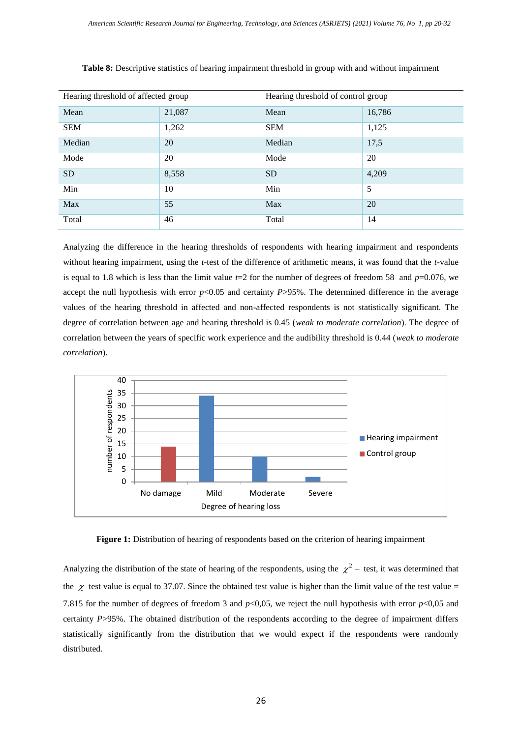| Hearing threshold of affected group |        | Hearing threshold of control group |        |
|-------------------------------------|--------|------------------------------------|--------|
| Mean                                | 21,087 | Mean                               | 16,786 |
| <b>SEM</b>                          | 1,262  | <b>SEM</b>                         | 1,125  |
| Median                              | 20     | Median                             | 17,5   |
| Mode                                | 20     | Mode                               | 20     |
| <b>SD</b>                           | 8,558  | <b>SD</b>                          | 4,209  |
| Min                                 | 10     | Min                                | 5      |
| Max                                 | 55     | Max                                | 20     |
| Total                               | 46     | Total                              | 14     |

Analyzing the difference in the hearing thresholds of respondents with hearing impairment and respondents without hearing impairment, using the *t*-test of the difference of arithmetic means, it was found that the *t*-value is equal to 1.8 which is less than the limit value  $t=2$  for the number of degrees of freedom 58 and  $p=0.076$ , we accept the null hypothesis with error  $p<0.05$  and certainty  $P > 95\%$ . The determined difference in the average values of the hearing threshold in affected and non-affected respondents is not statistically significant*.* The degree of correlation between age and hearing threshold is 0.45 (*weak to moderate correlation*). The degree of correlation between the years of specific work experience and the audibility threshold is 0.44 (*weak to moderate correlation*).



**Figure 1:** Distribution of hearing of respondents based on the criterion of hearing impairment

Analyzing the distribution of the state of hearing of the respondents, using the  $\chi^2$  – test, it was determined that the  $\chi$  test value is equal to 37.07. Since the obtained test value is higher than the limit value of the test value = 7.815 for the number of degrees of freedom 3 and *p*<0,05, we reject the null hypothesis with error *p*<0,05 and certainty *P*>95%. The obtained distribution of the respondents according to the degree of impairment differs statistically significantly from the distribution that we would expect if the respondents were randomly distributed*.*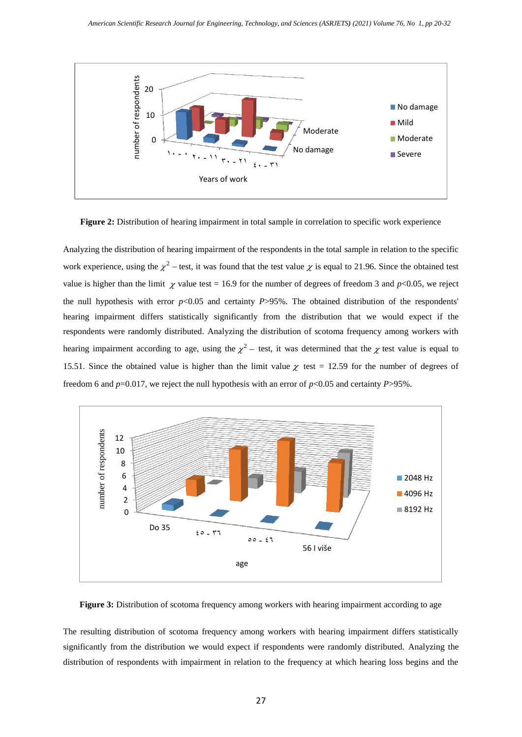

**Figure 2:** Distribution of hearing impairment in total sample in correlation to specific work experience

Analyzing the distribution of hearing impairment of the respondents in the total sample in relation to the specific work experience, using the  $\chi^2$  – test, it was found that the test value  $\chi$  is equal to 21.96. Since the obtained test value is higher than the limit  $\chi$  value test = 16.9 for the number of degrees of freedom 3 and *p*<0.05, we reject the null hypothesis with error  $p<0.05$  and certainty  $P>95\%$ . The obtained distribution of the respondents' hearing impairment differs statistically significantly from the distribution that we would expect if the respondents were randomly distributed. Analyzing the distribution of scotoma frequency among workers with hearing impairment according to age, using the  $\chi^2$  – test, it was determined that the  $\chi$  test value is equal to 15.51. Since the obtained value is higher than the limit value  $\chi$  test = 12.59 for the number of degrees of freedom 6 and *p*=0.017, we reject the null hypothesis with an error of *p*<0.05 and certainty *P*>95%.



**Figure 3:** Distribution of scotoma frequency among workers with hearing impairment according to age

The resulting distribution of scotoma frequency among workers with hearing impairment differs statistically significantly from the distribution we would expect if respondents were randomly distributed. Analyzing the distribution of respondents with impairment in relation to the frequency at which hearing loss begins and the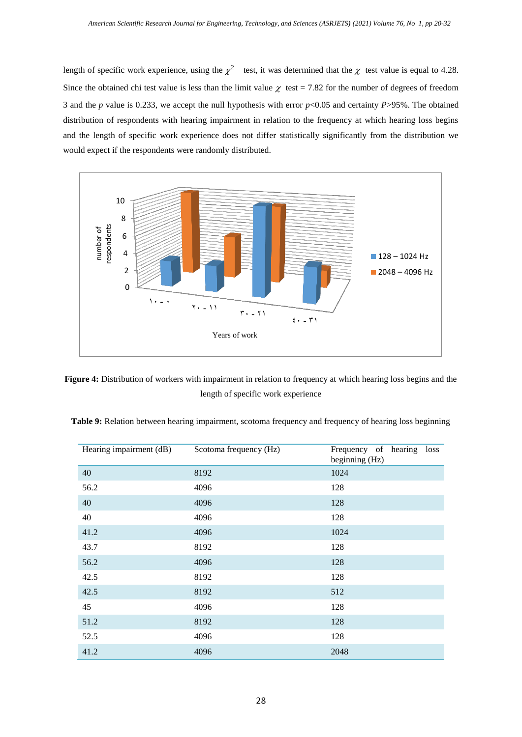length of specific work experience, using the  $\chi^2$  – test, it was determined that the  $\chi$  test value is equal to 4.28. Since the obtained chi test value is less than the limit value  $\chi$  test = 7.82 for the number of degrees of freedom 3 and the *p* value is 0.233, we accept the null hypothesis with error *p*<0.05 and certainty *P*>95%. The obtained distribution of respondents with hearing impairment in relation to the frequency at which hearing loss begins and the length of specific work experience does not differ statistically significantly from the distribution we would expect if the respondents were randomly distributed.



**Figure 4:** Distribution of workers with impairment in relation to frequency at which hearing loss begins and the length of specific work experience

| Hearing impairment (dB) | Scotoma frequency (Hz) | Frequency of hearing loss<br>beginning (Hz) |
|-------------------------|------------------------|---------------------------------------------|
| 40                      | 8192                   | 1024                                        |
| 56.2                    | 4096                   | 128                                         |
| 40                      | 4096                   | 128                                         |
| 40                      | 4096                   | 128                                         |
| 41.2                    | 4096                   | 1024                                        |
| 43.7                    | 8192                   | 128                                         |
| 56.2                    | 4096                   | 128                                         |
| 42.5                    | 8192                   | 128                                         |
| 42.5                    | 8192                   | 512                                         |
| 45                      | 4096                   | 128                                         |
| 51.2                    | 8192                   | 128                                         |
| 52.5                    | 4096                   | 128                                         |
| 41.2                    | 4096                   | 2048                                        |

**Table 9:** Relation between hearing impairment, scotoma frequency and frequency of hearing loss beginning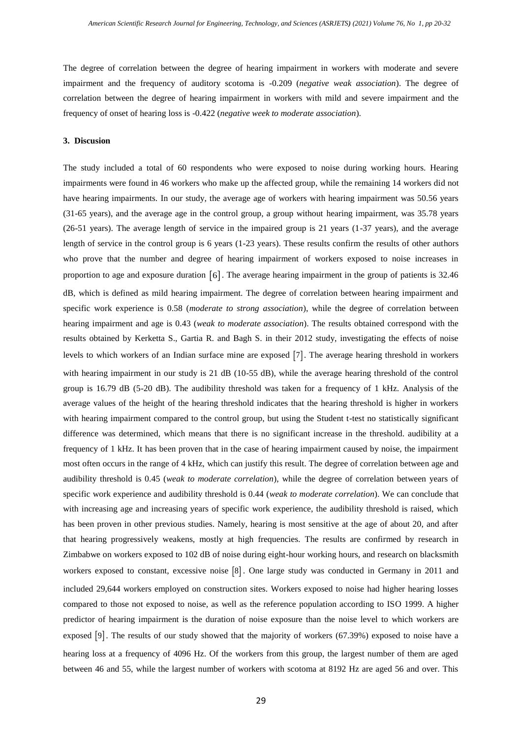The degree of correlation between the degree of hearing impairment in workers with moderate and severe impairment and the frequency of auditory scotoma is -0.209 (*negative weak association*). The degree of correlation between the degree of hearing impairment in workers with mild and severe impairment and the frequency of onset of hearing loss is -0.422 (*negative week to moderate association*).

## **3. Discusion**

The study included a total of 60 respondents who were exposed to noise during working hours. Hearing impairments were found in 46 workers who make up the affected group, while the remaining 14 workers did not have hearing impairments. In our study, the average age of workers with hearing impairment was 50.56 years (31-65 years), and the average age in the control group, a group without hearing impairment, was 35.78 years (26-51 years). The average length of service in the impaired group is 21 years (1-37 years), and the average length of service in the control group is 6 years (1-23 years). These results confirm the results of other authors who prove that the number and degree of hearing impairment of workers exposed to noise increases in proportion to age and exposure duration [6]. The average hearing impairment in the group of patients is 32.46 dB, which is defined as mild hearing impairment. The degree of correlation between hearing impairment and specific work experience is 0.58 (*moderate to strong association*), while the degree of correlation between hearing impairment and age is 0.43 (*weak to moderate association*). The results obtained correspond with the results obtained by Kerketta S., Gartia R. and Bagh S. in their 2012 study, investigating the effects of noise levels to which workers of an Indian surface mine are exposed  $[7]$ . The average hearing threshold in workers with hearing impairment in our study is 21 dB (10-55 dB), while the average hearing threshold of the control group is 16.79 dB (5-20 dB). The audibility threshold was taken for a frequency of 1 kHz. Analysis of the average values of the height of the hearing threshold indicates that the hearing threshold is higher in workers with hearing impairment compared to the control group, but using the Student t-test no statistically significant difference was determined, which means that there is no significant increase in the threshold. audibility at a frequency of 1 kHz. It has been proven that in the case of hearing impairment caused by noise, the impairment most often occurs in the range of 4 kHz, which can justify this result. The degree of correlation between age and audibility threshold is 0.45 (*weak to moderate correlation*), while the degree of correlation between years of specific work experience and audibility threshold is 0.44 (*weak to moderate correlation*). We can conclude that with increasing age and increasing years of specific work experience, the audibility threshold is raised, which has been proven in other previous studies. Namely, hearing is most sensitive at the age of about 20, and after that hearing progressively weakens, mostly at high frequencies. The results are confirmed by research in Zimbabwe on workers exposed to 102 dB of noise during eight-hour working hours, and research on blacksmith workers exposed to constant, excessive noise [8]. One large study was conducted in Germany in 2011 and included 29,644 workers employed on construction sites. Workers exposed to noise had higher hearing losses compared to those not exposed to noise, as well as the reference population according to ISO 1999. A higher predictor of hearing impairment is the duration of noise exposure than the noise level to which workers are exposed [9]. The results of our study showed that the majority of workers (67.39%) exposed to noise have a hearing loss at a frequency of 4096 Hz. Of the workers from this group, the largest number of them are aged between 46 and 55, while the largest number of workers with scotoma at 8192 Hz are aged 56 and over. This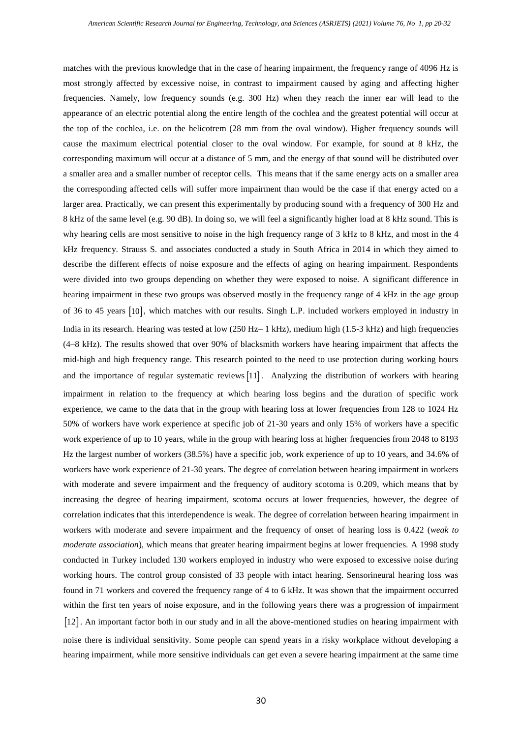matches with the previous knowledge that in the case of hearing impairment, the frequency range of 4096 Hz is most strongly affected by excessive noise, in contrast to impairment caused by aging and affecting higher frequencies. Namely, low frequency sounds (e.g. 300 Hz) when they reach the inner ear will lead to the appearance of an electric potential along the entire length of the cochlea and the greatest potential will occur at the top of the cochlea, i.e. on the helicotrem (28 mm from the oval window). Higher frequency sounds will cause the maximum electrical potential closer to the oval window. For example, for sound at 8 kHz, the corresponding maximum will occur at a distance of 5 mm, and the energy of that sound will be distributed over a smaller area and a smaller number of receptor cells. This means that if the same energy acts on a smaller area the corresponding affected cells will suffer more impairment than would be the case if that energy acted on a larger area. Practically, we can present this experimentally by producing sound with a frequency of 300 Hz and 8 kHz of the same level (e.g. 90 dB). In doing so, we will feel a significantly higher load at 8 kHz sound. This is why hearing cells are most sensitive to noise in the high frequency range of 3 kHz to 8 kHz, and most in the 4 kHz frequency. Strauss S. and associates conducted a study in South Africa in 2014 in which they aimed to describe the different effects of noise exposure and the effects of aging on hearing impairment. Respondents were divided into two groups depending on whether they were exposed to noise. A significant difference in hearing impairment in these two groups was observed mostly in the frequency range of 4 kHz in the age group of 36 to 45 years 10, which matches with our results. Singh L.P. included workers employed in industry in India in its research. Hearing was tested at low (250 Hz– 1 kHz), medium high (1.5-3 kHz) and high frequencies (4–8 kHz). The results showed that over 90% of blacksmith workers have hearing impairment that affects the mid-high and high frequency range. This research pointed to the need to use protection during working hours and the importance of regular systematic reviews  $[11]$ . Analyzing the distribution of workers with hearing impairment in relation to the frequency at which hearing loss begins and the duration of specific work experience, we came to the data that in the group with hearing loss at lower frequencies from 128 to 1024 Hz 50% of workers have work experience at specific job of 21-30 years and only 15% of workers have a specific work experience of up to 10 years, while in the group with hearing loss at higher frequencies from 2048 to 8193 Hz the largest number of workers (38.5%) have a specific job, work experience of up to 10 years, and 34.6% of workers have work experience of 21-30 years. The degree of correlation between hearing impairment in workers with moderate and severe impairment and the frequency of auditory scotoma is 0.209, which means that by increasing the degree of hearing impairment, scotoma occurs at lower frequencies, however, the degree of correlation indicates that this interdependence is weak. The degree of correlation between hearing impairment in workers with moderate and severe impairment and the frequency of onset of hearing loss is 0.422 (*weak to moderate association*), which means that greater hearing impairment begins at lower frequencies. A 1998 study conducted in Turkey included 130 workers employed in industry who were exposed to excessive noise during working hours. The control group consisted of 33 people with intact hearing. Sensorineural hearing loss was found in 71 workers and covered the frequency range of 4 to 6 kHz. It was shown that the impairment occurred within the first ten years of noise exposure, and in the following years there was a progression of impairment 12. An important factor both in our study and in all the above-mentioned studies on hearing impairment with noise there is individual sensitivity. Some people can spend years in a risky workplace without developing a hearing impairment, while more sensitive individuals can get even a severe hearing impairment at the same time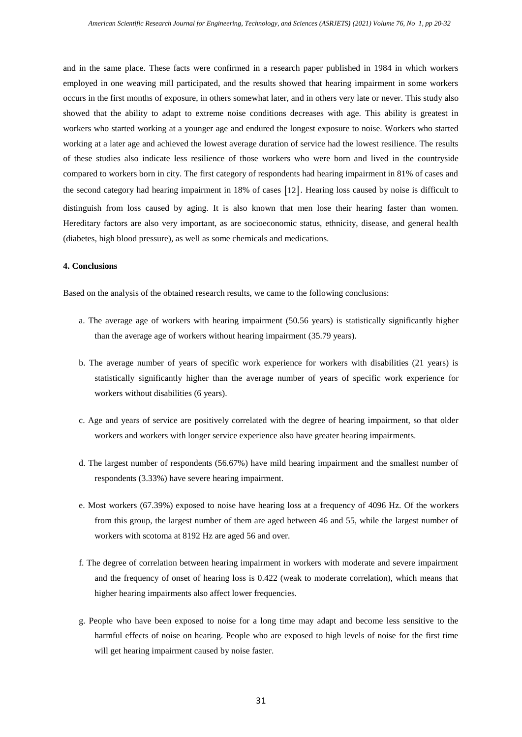and in the same place. These facts were confirmed in a research paper published in 1984 in which workers employed in one weaving mill participated, and the results showed that hearing impairment in some workers occurs in the first months of exposure, in others somewhat later, and in others very late or never. This study also showed that the ability to adapt to extreme noise conditions decreases with age. This ability is greatest in workers who started working at a younger age and endured the longest exposure to noise. Workers who started working at a later age and achieved the lowest average duration of service had the lowest resilience. The results of these studies also indicate less resilience of those workers who were born and lived in the countryside compared to workers born in city. The first category of respondents had hearing impairment in 81% of cases and the second category had hearing impairment in 18% of cases [12]. Hearing loss caused by noise is difficult to distinguish from loss caused by aging. It is also known that men lose their hearing faster than women. Hereditary factors are also very important, as are socioeconomic status, ethnicity, disease, and general health (diabetes, high blood pressure), as well as some chemicals and medications.

# **4. Conclusions**

Based on the analysis of the obtained research results, we came to the following conclusions:

- a. The average age of workers with hearing impairment (50.56 years) is statistically significantly higher than the average age of workers without hearing impairment (35.79 years).
- b. The average number of years of specific work experience for workers with disabilities (21 years) is statistically significantly higher than the average number of years of specific work experience for workers without disabilities (6 years).
- c. Age and years of service are positively correlated with the degree of hearing impairment, so that older workers and workers with longer service experience also have greater hearing impairments.
- d. The largest number of respondents (56.67%) have mild hearing impairment and the smallest number of respondents (3.33%) have severe hearing impairment.
- e. Most workers (67.39%) exposed to noise have hearing loss at a frequency of 4096 Hz. Of the workers from this group, the largest number of them are aged between 46 and 55, while the largest number of workers with scotoma at 8192 Hz are aged 56 and over.
- f. The degree of correlation between hearing impairment in workers with moderate and severe impairment and the frequency of onset of hearing loss is 0.422 (weak to moderate correlation), which means that higher hearing impairments also affect lower frequencies.
- g. People who have been exposed to noise for a long time may adapt and become less sensitive to the harmful effects of noise on hearing. People who are exposed to high levels of noise for the first time will get hearing impairment caused by noise faster.